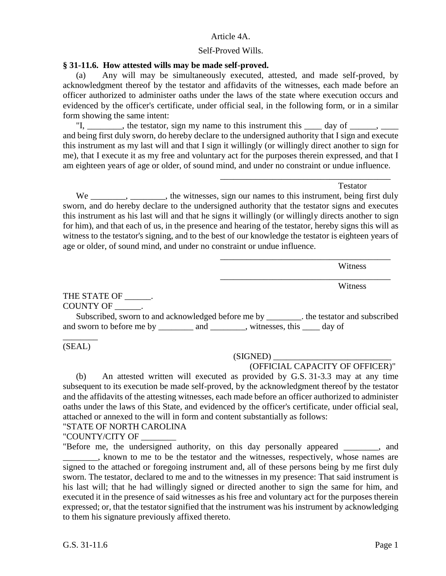### Article 4A.

### Self-Proved Wills.

### **§ 31-11.6. How attested wills may be made self-proved.**

(a) Any will may be simultaneously executed, attested, and made self-proved, by acknowledgment thereof by the testator and affidavits of the witnesses, each made before an officer authorized to administer oaths under the laws of the state where execution occurs and evidenced by the officer's certificate, under official seal, in the following form, or in a similar form showing the same intent:

"I, \_\_\_\_\_\_\_, the testator, sign my name to this instrument this \_\_\_\_\_ day of \_\_\_\_\_, \_\_\_\_ and being first duly sworn, do hereby declare to the undersigned authority that I sign and execute this instrument as my last will and that I sign it willingly (or willingly direct another to sign for me), that I execute it as my free and voluntary act for the purposes therein expressed, and that I am eighteen years of age or older, of sound mind, and under no constraint or undue influence.

**Testator** 

\_\_\_\_\_\_\_\_\_\_\_\_\_\_\_\_\_\_\_\_\_\_\_\_\_\_\_\_\_\_\_\_\_\_\_\_\_\_\_

\_\_\_\_\_\_\_\_\_\_\_\_\_\_\_\_\_\_\_\_\_\_\_\_\_\_\_\_\_\_\_\_\_\_\_\_\_\_\_

\_\_\_\_\_\_\_\_\_\_\_\_\_\_\_\_\_\_\_\_\_\_\_\_\_\_\_\_\_\_\_\_\_\_\_\_\_\_\_

We \_\_\_\_\_\_\_, \_\_\_\_\_\_, the witnesses, sign our names to this instrument, being first duly sworn, and do hereby declare to the undersigned authority that the testator signs and executes this instrument as his last will and that he signs it willingly (or willingly directs another to sign for him), and that each of us, in the presence and hearing of the testator, hereby signs this will as witness to the testator's signing, and to the best of our knowledge the testator is eighteen years of age or older, of sound mind, and under no constraint or undue influence.

Witness

**Witness** 

THE STATE OF \_\_\_\_\_\_. COUNTY OF \_\_\_\_\_\_.

Subscribed, sworn to and acknowledged before me by entitleded the testator and subscribed and sworn to before me by \_\_\_\_\_\_\_\_\_ and \_\_\_\_\_\_\_\_, witnesses, this \_\_\_\_\_ day of

\_\_\_\_\_\_\_\_ (SEAL)

#### (SIGNED) \_\_\_\_\_\_\_\_\_\_\_\_\_\_\_\_\_\_\_\_\_\_\_\_\_\_\_

## (OFFICIAL CAPACITY OF OFFICER)"

(b) An attested written will executed as provided by G.S. 31-3.3 may at any time subsequent to its execution be made self-proved, by the acknowledgment thereof by the testator and the affidavits of the attesting witnesses, each made before an officer authorized to administer oaths under the laws of this State, and evidenced by the officer's certificate, under official seal, attached or annexed to the will in form and content substantially as follows:

"STATE OF NORTH CAROLINA

"COUNTY/CITY OF

"Before me, the undersigned authority, on this day personally appeared \_\_\_\_\_\_\_\_, and \_\_\_\_\_\_\_\_, known to me to be the testator and the witnesses, respectively, whose names are signed to the attached or foregoing instrument and, all of these persons being by me first duly sworn. The testator, declared to me and to the witnesses in my presence: That said instrument is his last will; that he had willingly signed or directed another to sign the same for him, and executed it in the presence of said witnesses as his free and voluntary act for the purposes therein expressed; or, that the testator signified that the instrument was his instrument by acknowledging to them his signature previously affixed thereto.

G.S. 31-11.6 Page 1